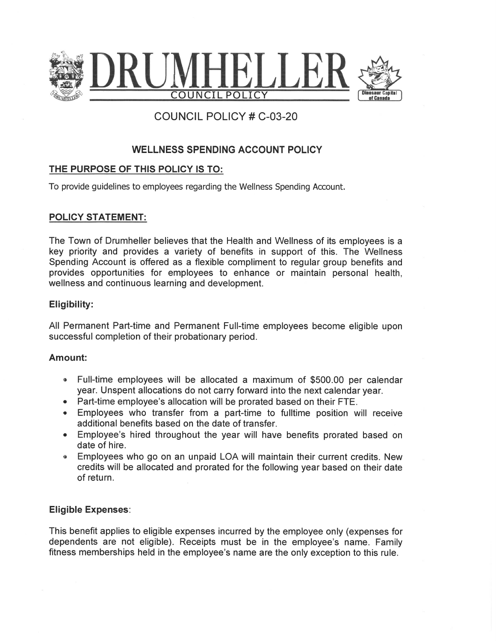

# **COUNCIL POLICY # C-03-20**

# **WELLNESS SPENDING ACCOUNT POLICY**

## THE PURPOSE OF THIS POLICY IS TO:

To provide guidelines to employees regarding the Wellness Spending Account.

## **POLICY STATEMENT:**

The Town of Drumheller believes that the Health and Wellness of its employees is a key priority and provides a variety of benefits in support of this. The Wellness Spending Account is offered as a flexible compliment to regular group benefits and provides opportunities for employees to enhance or maintain personal health, wellness and continuous learning and development.

#### Eligibility:

All Permanent Part-time and Permanent Full-time employees become eligible upon successful completion of their probationary period.

#### Amount:

- Full-time employees will be allocated a maximum of \$500.00 per calendar year. Unspent allocations do not carry forward into the next calendar year.
- Part-time employee's allocation will be prorated based on their FTE.
- Employees who transfer from a part-time to fulltime position will receive additional benefits based on the date of transfer.
- Employee's hired throughout the year will have benefits prorated based on date of hire.
- Employees who go on an unpaid LOA will maintain their current credits. New  $\bullet$ credits will be allocated and prorated for the following year based on their date of return.

#### **Eligible Expenses:**

This benefit applies to eligible expenses incurred by the employee only (expenses for dependents are not eligible). Receipts must be in the employee's name. Family fitness memberships held in the employee's name are the only exception to this rule.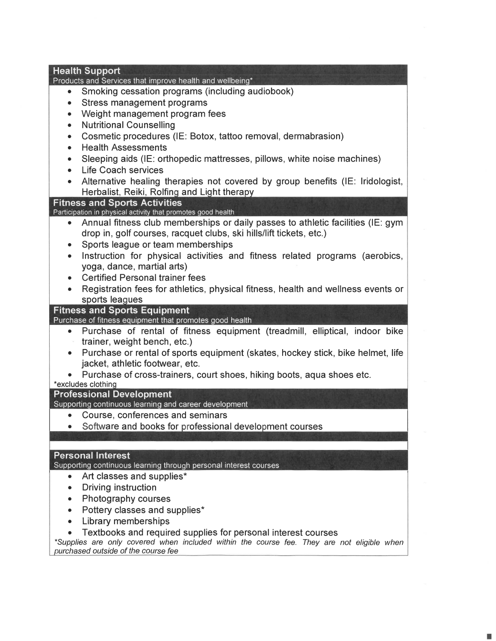| <b>Health Support</b><br>Products and Services that improve health and wellbeing*                    |  |
|------------------------------------------------------------------------------------------------------|--|
| Smoking cessation programs (including audiobook)<br>$\bullet$                                        |  |
| Stress management programs<br>$\bullet$                                                              |  |
| Weight management program fees<br>٠                                                                  |  |
| <b>Nutritional Counselling</b><br>$\bullet$                                                          |  |
| Cosmetic procedures (IE: Botox, tattoo removal, dermabrasion)<br>$\bullet$                           |  |
| <b>Health Assessments</b><br>$\bullet$                                                               |  |
| Sleeping aids (IE: orthopedic mattresses, pillows, white noise machines)<br>$\bullet$                |  |
| <b>Life Coach services</b><br>$\bullet$                                                              |  |
| Alternative healing therapies not covered by group benefits (IE: Iridologist,                        |  |
| Herbalist, Reiki, Rolfing and Light therapy                                                          |  |
| <b>Fitness and Sports Activities</b><br>Participation in physical activity that promotes good health |  |
| Annual fitness club memberships or daily passes to athletic facilities (IE: gym<br>$\bullet$         |  |
| drop in, golf courses, racquet clubs, ski hills/lift tickets, etc.)                                  |  |
| Sports league or team memberships<br>$\bullet$                                                       |  |
| Instruction for physical activities and fitness related programs (aerobics,<br>$\bullet$             |  |
| yoga, dance, martial arts)                                                                           |  |
| <b>Certified Personal trainer fees</b>                                                               |  |
| Registration fees for athletics, physical fitness, health and wellness events or                     |  |
| sports leagues<br><b>Fitness and Sports Equipment</b>                                                |  |
| Purchase of fitness equipment that promotes good health                                              |  |
| • Purchase of rental of fitness equipment (treadmill, elliptical, indoor bike                        |  |
| trainer, weight bench, etc.)                                                                         |  |
| Purchase or rental of sports equipment (skates, hockey stick, bike helmet, life<br>$\bullet$         |  |
| jacket, athletic footwear, etc.                                                                      |  |
| Purchase of cross-trainers, court shoes, hiking boots, aqua shoes etc.<br>*excludes clothing         |  |
| <b>Professional Development</b>                                                                      |  |
| Supporting continuous learning and career development                                                |  |
| Course, conferences and seminars                                                                     |  |
| Software and books for professional development courses                                              |  |
|                                                                                                      |  |
| <b>Personal Interest</b>                                                                             |  |
| Supporting continuous learning through personal interest courses                                     |  |
| Art classes and supplies*<br>$\bullet$                                                               |  |
| Driving instruction                                                                                  |  |
| Photography courses                                                                                  |  |
| Pottery classes and supplies*                                                                        |  |
| Library memberships                                                                                  |  |
| Textbooks and required supplies for personal interest courses                                        |  |

\*Supplies are only covered when included within the course fee. They are not eligible when urchased outside of the course fee